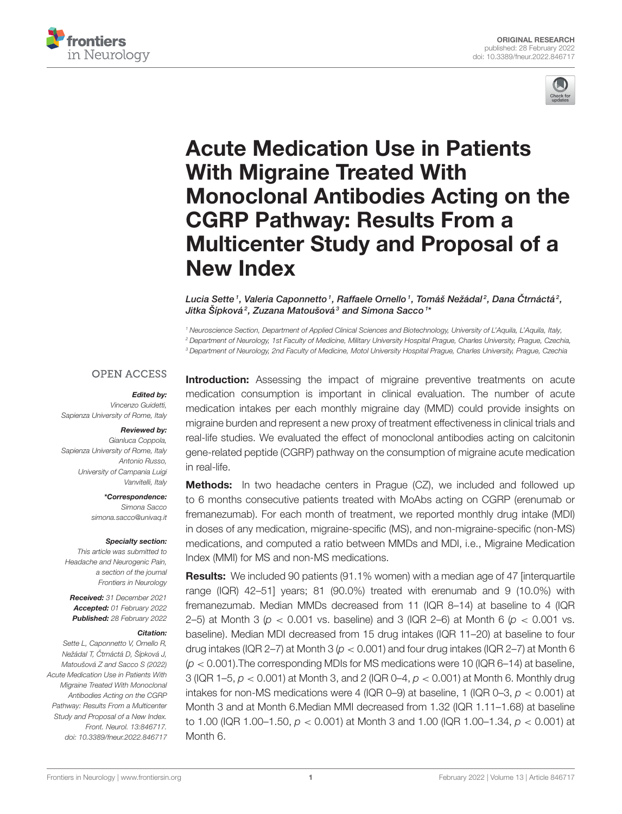



# Acute Medication Use in Patients With Migraine Treated With [Monoclonal Antibodies Acting on the](https://www.frontiersin.org/articles/10.3389/fneur.2022.846717/full) CGRP Pathway: Results From a Multicenter Study and Proposal of a New Index

Lucia Sette1, Valeria Caponnetto1, Raffaele Ornello1, Tomáš Nežádal2, Dana Čtrnáctá2, Jitka Šípková $^2$ , Zuzana Matoušová $^3$  and Simona Sacco $^{\textit{1}\star}$ 

<sup>1</sup> Neuroscience Section, Department of Applied Clinical Sciences and Biotechnology, University of L'Aquila, L'Aquila, Italy, <sup>2</sup> Department of Neurology, 1st Faculty of Medicine, Military University Hospital Prague, Charles University, Prague, Czechia, <sup>3</sup> Department of Neurology, 2nd Faculty of Medicine, Motol University Hospital Prague, Charles University, Prague, Czechia

#### **OPEN ACCESS**

#### Edited by:

Vincenzo Guidetti, Sapienza University of Rome, Italy

#### Reviewed by:

Gianluca Coppola, Sapienza University of Rome, Italy Antonio Russo, University of Campania Luigi Vanvitelli, Italy

\*Correspondence:

Simona Sacco [simona.sacco@univaq.it](mailto:simona.sacco@univaq.it)

#### Specialty section:

This article was submitted to Headache and Neurogenic Pain, a section of the journal Frontiers in Neurology

Received: 31 December 2021 Accepted: 01 February 2022 Published: 28 February 2022

#### Citation:

Sette L, Caponnetto V, Ornello R. Nežádal T, Čtrnáctá D, Šípková J, Matoušová Z and Sacco S (2022) Acute Medication Use in Patients With Migraine Treated With Monoclonal Antibodies Acting on the CGRP Pathway: Results From a Multicenter Study and Proposal of a New Index. Front. Neurol. 13:846717. doi: [10.3389/fneur.2022.846717](https://doi.org/10.3389/fneur.2022.846717)

**Introduction:** Assessing the impact of migraine preventive treatments on acute medication consumption is important in clinical evaluation. The number of acute medication intakes per each monthly migraine day (MMD) could provide insights on migraine burden and represent a new proxy of treatment effectiveness in clinical trials and real-life studies. We evaluated the effect of monoclonal antibodies acting on calcitonin gene-related peptide (CGRP) pathway on the consumption of migraine acute medication in real-life.

**Methods:** In two headache centers in Praque (CZ), we included and followed up to 6 months consecutive patients treated with MoAbs acting on CGRP (erenumab or fremanezumab). For each month of treatment, we reported monthly drug intake (MDI) in doses of any medication, migraine-specific (MS), and non-migraine-specific (non-MS) medications, and computed a ratio between MMDs and MDI, i.e., Migraine Medication Index (MMI) for MS and non-MS medications.

Results: We included 90 patients (91.1% women) with a median age of 47 [interquartile range (IQR) 42–51] years; 81 (90.0%) treated with erenumab and 9 (10.0%) with fremanezumab. Median MMDs decreased from 11 (IQR 8–14) at baseline to 4 (IQR 2–5) at Month 3 ( $p < 0.001$  vs. baseline) and 3 (IQR 2–6) at Month 6 ( $p < 0.001$  vs. baseline). Median MDI decreased from 15 drug intakes (IQR 11–20) at baseline to four drug intakes (IQR 2–7) at Month 3 ( $p < 0.001$ ) and four drug intakes (IQR 2–7) at Month 6  $(p < 0.001)$ . The corresponding MDIs for MS medications were 10 (IQR 6-14) at baseline, 3 (IQR 1–5,  $p < 0.001$ ) at Month 3, and 2 (IQR 0–4,  $p < 0.001$ ) at Month 6. Monthly drug intakes for non-MS medications were 4 (IQR 0–9) at baseline, 1 (IQR 0–3,  $p < 0.001$ ) at Month 3 and at Month 6.Median MMI decreased from 1.32 (IQR 1.11–1.68) at baseline to 1.00 (IQR 1.00–1.50,  $p < 0.001$ ) at Month 3 and 1.00 (IQR 1.00–1.34,  $p < 0.001$ ) at Month 6.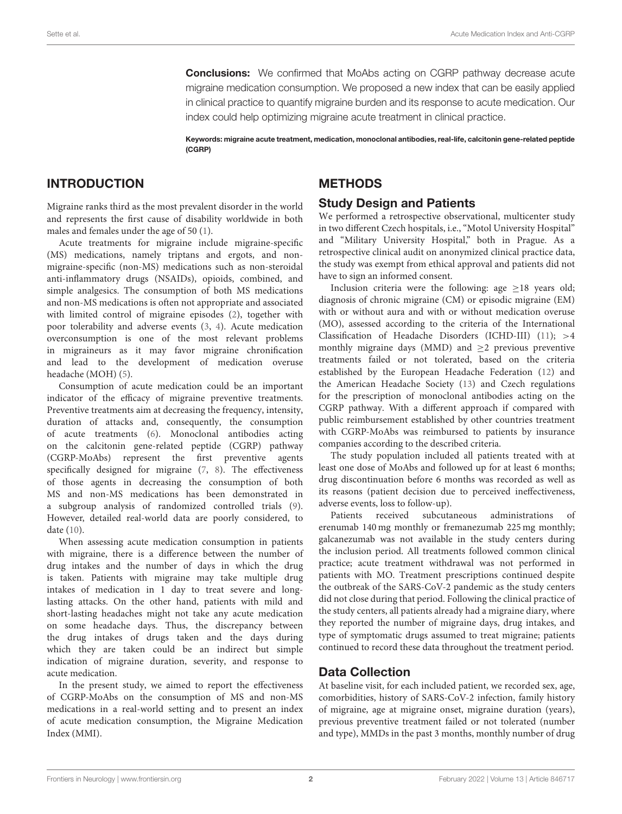**Conclusions:** We confirmed that MoAbs acting on CGRP pathway decrease acute migraine medication consumption. We proposed a new index that can be easily applied in clinical practice to quantify migraine burden and its response to acute medication. Our index could help optimizing migraine acute treatment in clinical practice.

Keywords: migraine acute treatment, medication, monoclonal antibodies, real-life, calcitonin gene-related peptide (CGRP)

### INTRODUCTION

Migraine ranks third as the most prevalent disorder in the world and represents the first cause of disability worldwide in both males and females under the age of 50 [\(1\)](#page-6-0).

Acute treatments for migraine include migraine-specific (MS) medications, namely triptans and ergots, and nonmigraine-specific (non-MS) medications such as non-steroidal anti-inflammatory drugs (NSAIDs), opioids, combined, and simple analgesics. The consumption of both MS medications and non-MS medications is often not appropriate and associated with limited control of migraine episodes [\(2\)](#page-6-1), together with poor tolerability and adverse events [\(3,](#page-6-2) [4\)](#page-6-3). Acute medication overconsumption is one of the most relevant problems in migraineurs as it may favor migraine chronification and lead to the development of medication overuse headache (MOH) [\(5\)](#page-6-4).

Consumption of acute medication could be an important indicator of the efficacy of migraine preventive treatments. Preventive treatments aim at decreasing the frequency, intensity, duration of attacks and, consequently, the consumption of acute treatments [\(6\)](#page-6-5). Monoclonal antibodies acting on the calcitonin gene-related peptide (CGRP) pathway (CGRP-MoAbs) represent the first preventive agents specifically designed for migraine [\(7,](#page-6-6) [8\)](#page-6-7). The effectiveness of those agents in decreasing the consumption of both MS and non-MS medications has been demonstrated in a subgroup analysis of randomized controlled trials [\(9\)](#page-6-8). However, detailed real-world data are poorly considered, to date [\(10\)](#page-6-9).

When assessing acute medication consumption in patients with migraine, there is a difference between the number of drug intakes and the number of days in which the drug is taken. Patients with migraine may take multiple drug intakes of medication in 1 day to treat severe and longlasting attacks. On the other hand, patients with mild and short-lasting headaches might not take any acute medication on some headache days. Thus, the discrepancy between the drug intakes of drugs taken and the days during which they are taken could be an indirect but simple indication of migraine duration, severity, and response to acute medication.

In the present study, we aimed to report the effectiveness of CGRP-MoAbs on the consumption of MS and non-MS medications in a real-world setting and to present an index of acute medication consumption, the Migraine Medication Index (MMI).

# **METHODS**

#### Study Design and Patients

We performed a retrospective observational, multicenter study in two different Czech hospitals, i.e., "Motol University Hospital" and "Military University Hospital," both in Prague. As a retrospective clinical audit on anonymized clinical practice data, the study was exempt from ethical approval and patients did not have to sign an informed consent.

Inclusion criteria were the following: age  $\geq$ 18 years old; diagnosis of chronic migraine (CM) or episodic migraine (EM) with or without aura and with or without medication overuse (MO), assessed according to the criteria of the International Classification of Headache Disorders (ICHD-III) [\(11\)](#page-6-10); >4 monthly migraine days (MMD) and  $\geq$ 2 previous preventive treatments failed or not tolerated, based on the criteria established by the European Headache Federation [\(12\)](#page-6-11) and the American Headache Society [\(13\)](#page-6-12) and Czech regulations for the prescription of monoclonal antibodies acting on the CGRP pathway. With a different approach if compared with public reimbursement established by other countries treatment with CGRP-MoAbs was reimbursed to patients by insurance companies according to the described criteria.

The study population included all patients treated with at least one dose of MoAbs and followed up for at least 6 months; drug discontinuation before 6 months was recorded as well as its reasons (patient decision due to perceived ineffectiveness, adverse events, loss to follow-up).

Patients received subcutaneous administrations of erenumab 140 mg monthly or fremanezumab 225 mg monthly; galcanezumab was not available in the study centers during the inclusion period. All treatments followed common clinical practice; acute treatment withdrawal was not performed in patients with MO. Treatment prescriptions continued despite the outbreak of the SARS-CoV-2 pandemic as the study centers did not close during that period. Following the clinical practice of the study centers, all patients already had a migraine diary, where they reported the number of migraine days, drug intakes, and type of symptomatic drugs assumed to treat migraine; patients continued to record these data throughout the treatment period.

# Data Collection

At baseline visit, for each included patient, we recorded sex, age, comorbidities, history of SARS-CoV-2 infection, family history of migraine, age at migraine onset, migraine duration (years), previous preventive treatment failed or not tolerated (number and type), MMDs in the past 3 months, monthly number of drug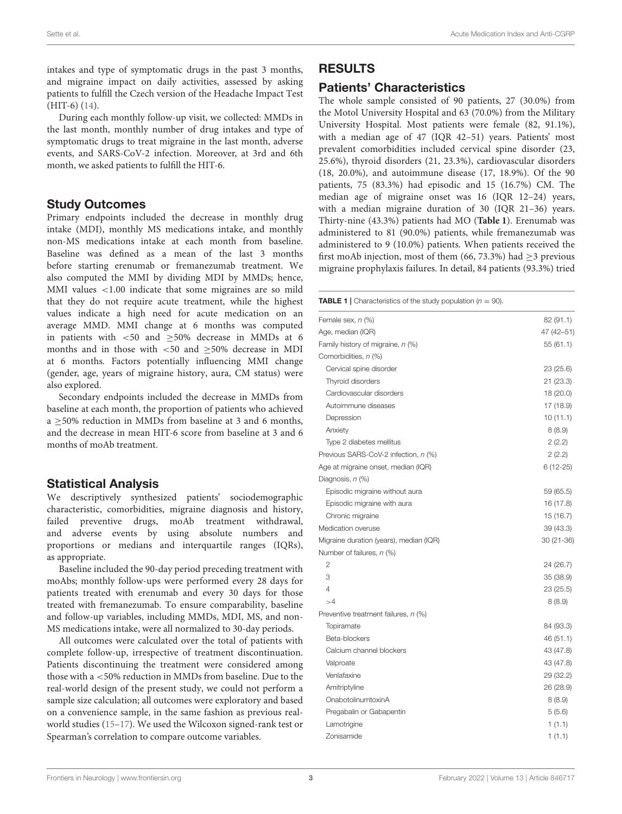intakes and type of symptomatic drugs in the past 3 months, and migraine impact on daily activities, assessed by asking patients to fulfill the Czech version of the Headache Impact Test (HIT-6) [\(14\)](#page-6-13).

During each monthly follow-up visit, we collected: MMDs in the last month, monthly number of drug intakes and type of symptomatic drugs to treat migraine in the last month, adverse events, and SARS-CoV-2 infection. Moreover, at 3rd and 6th month, we asked patients to fulfill the HIT-6.

#### Study Outcomes

Primary endpoints included the decrease in monthly drug intake (MDI), monthly MS medications intake, and monthly non-MS medications intake at each month from baseline. Baseline was defined as a mean of the last 3 months before starting erenumab or fremanezumab treatment. We also computed the MMI by dividing MDI by MMDs; hence, MMI values <1.00 indicate that some migraines are so mild that they do not require acute treatment, while the highest values indicate a high need for acute medication on an average MMD. MMI change at 6 months was computed in patients with  $<50$  and  $\geq50\%$  decrease in MMDs at 6 months and in those with <50 and ≥50% decrease in MDI at 6 months. Factors potentially influencing MMI change (gender, age, years of migraine history, aura, CM status) were also explored.

Secondary endpoints included the decrease in MMDs from baseline at each month, the proportion of patients who achieved a ≥50% reduction in MMDs from baseline at 3 and 6 months, and the decrease in mean HIT-6 score from baseline at 3 and 6 months of moAb treatment.

# Statistical Analysis

We descriptively synthesized patients' sociodemographic characteristic, comorbidities, migraine diagnosis and history, failed preventive drugs, moAb treatment withdrawal, and adverse events by using absolute numbers and proportions or medians and interquartile ranges (IQRs), as appropriate.

Baseline included the 90-day period preceding treatment with moAbs; monthly follow-ups were performed every 28 days for patients treated with erenumab and every 30 days for those treated with fremanezumab. To ensure comparability, baseline and follow-up variables, including MMDs, MDI, MS, and non-MS medications intake, were all normalized to 30-day periods.

All outcomes were calculated over the total of patients with complete follow-up, irrespective of treatment discontinuation. Patients discontinuing the treatment were considered among those with a <50% reduction in MMDs from baseline. Due to the real-world design of the present study, we could not perform a sample size calculation; all outcomes were exploratory and based on a convenience sample, in the same fashion as previous realworld studies [\(15–](#page-6-14)[17\)](#page-6-15). We used the Wilcoxon signed-rank test or Spearman's correlation to compare outcome variables.

# RESULTS

# Patients' Characteristics

The whole sample consisted of 90 patients, 27 (30.0%) from the Motol University Hospital and 63 (70.0%) from the Military University Hospital. Most patients were female (82, 91.1%), with a median age of 47 (IQR 42–51) years. Patients' most prevalent comorbidities included cervical spine disorder (23, 25.6%), thyroid disorders (21, 23.3%), cardiovascular disorders (18, 20.0%), and autoimmune disease (17, 18.9%). Of the 90 patients, 75 (83.3%) had episodic and 15 (16.7%) CM. The median age of migraine onset was 16 (IQR 12–24) years, with a median migraine duration of 30 (IQR 21–36) years. Thirty-nine (43.3%) patients had MO (**[Table 1](#page-2-0)**). Erenumab was administered to 81 (90.0%) patients, while fremanezumab was administered to 9 (10.0%) patients. When patients received the first moAb injection, most of them (66, 73.3%) had ≥3 previous migraine prophylaxis failures. In detail, 84 patients (93.3%) tried

<span id="page-2-0"></span>

| <b>TABLE 1</b> Characteristics of the study population $(n = 90)$ . |            |
|---------------------------------------------------------------------|------------|
| Female sex, n (%)                                                   | 82 (91.1)  |
| Age, median (IQR)                                                   | 47 (42-51) |
| Family history of migraine, n (%)                                   | 55 (61.1)  |
| Comorbidities, n (%)                                                |            |
| Cervical spine disorder                                             | 23 (25.6)  |
| Thyroid disorders                                                   | 21 (23.3)  |
| Cardiovascular disorders                                            | 18 (20.0)  |
| Autoimmune diseases                                                 | 17 (18.9)  |
| Depression                                                          | 10(11.1)   |
| Anxiety                                                             | 8(8.9)     |
| Type 2 diabetes mellitus                                            | 2(2.2)     |
| Previous SARS-CoV-2 infection, n (%)                                | 2(2.2)     |
| Age at migraine onset, median (IQR)                                 | 6 (12-25)  |
| Diagnosis, n (%)                                                    |            |
| Episodic migraine without aura                                      | 59 (65.5)  |
| Episodic migraine with aura                                         | 16 (17.8)  |
| Chronic migraine                                                    | 15 (16.7)  |
| Medication overuse                                                  | 39 (43.3)  |
| Migraine duration (years), median (IQR)                             | 30 (21-36) |
| Number of failures, n (%)                                           |            |
| 2                                                                   | 24 (26.7)  |
| 3                                                                   | 35 (38.9)  |
| 4                                                                   | 23 (25.5)  |
| >4                                                                  | 8(8.9)     |
| Preventive treatment failures, n (%)                                |            |
| Topiramate                                                          | 84 (93.3)  |
| Beta-blockers                                                       | 46 (51.1)  |
| Calcium channel blockers                                            | 43 (47.8)  |
| Valproate                                                           | 43 (47.8)  |
| Venlafaxine                                                         | 29 (32.2)  |
| Amitriptyline                                                       | 26 (28.9)  |
| OnabotolinumtoxinA                                                  | 8(8.9)     |
| Pregabalin or Gabapentin                                            | 5(5.6)     |
| Lamotrigine                                                         | 1(1.1)     |
| Zonisamide                                                          | 1(1.1)     |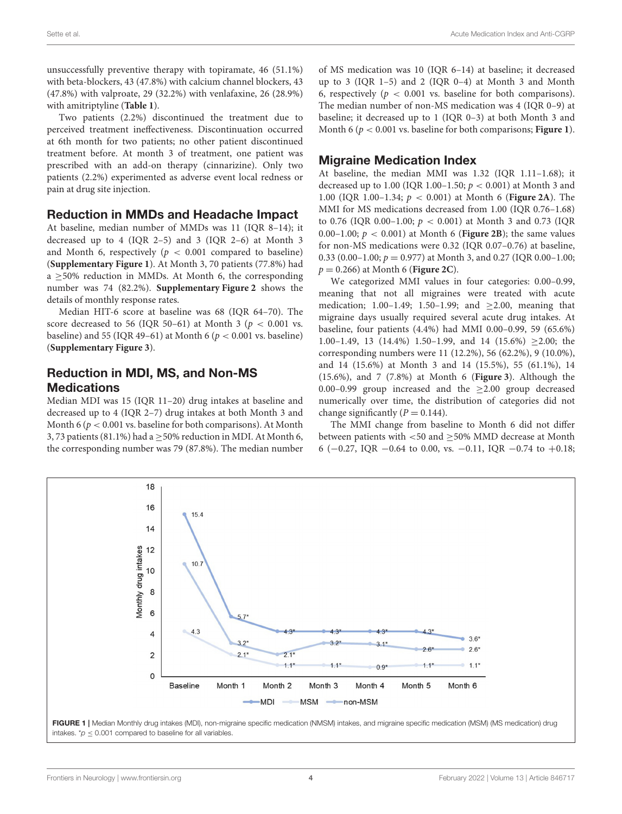unsuccessfully preventive therapy with topiramate, 46 (51.1%) with beta-blockers, 43 (47.8%) with calcium channel blockers, 43 (47.8%) with valproate, 29 (32.2%) with venlafaxine, 26 (28.9%) with amitriptyline (**[Table 1](#page-2-0)**).

Two patients (2.2%) discontinued the treatment due to perceived treatment ineffectiveness. Discontinuation occurred at 6th month for two patients; no other patient discontinued treatment before. At month 3 of treatment, one patient was prescribed with an add-on therapy (cinnarizine). Only two patients (2.2%) experimented as adverse event local redness or pain at drug site injection.

#### Reduction in MMDs and Headache Impact

At baseline, median number of MMDs was 11 (IQR 8–14); it decreased up to 4 (IQR 2–5) and 3 (IQR 2–6) at Month 3 and Month 6, respectively ( $p < 0.001$  compared to baseline) (**[Supplementary Figure 1](#page-6-16)**). At Month 3, 70 patients (77.8%) had a ≥50% reduction in MMDs. At Month 6, the corresponding number was 74 (82.2%). **[Supplementary Figure 2](#page-6-16)** shows the details of monthly response rates.

Median HIT-6 score at baseline was 68 (IQR 64–70). The score decreased to 56 (IQR 50–61) at Month 3 ( $p < 0.001$  vs. baseline) and 55 (IQR 49–61) at Month 6 ( $p < 0.001$  vs. baseline) (**[Supplementary Figure 3](#page-6-16)**).

# Reduction in MDI, MS, and Non-MS **Medications**

Median MDI was 15 (IQR 11–20) drug intakes at baseline and decreased up to 4 (IQR 2–7) drug intakes at both Month 3 and Month 6 ( $p < 0.001$  vs. baseline for both comparisons). At Month 3, 73 patients (81.1%) had a  $\geq$  50% reduction in MDI. At Month 6, the corresponding number was 79 (87.8%). The median number of MS medication was 10 (IQR 6–14) at baseline; it decreased up to 3 (IQR 1–5) and 2 (IQR 0–4) at Month 3 and Month 6, respectively ( $p < 0.001$  vs. baseline for both comparisons). The median number of non-MS medication was 4 (IQR 0–9) at baseline; it decreased up to 1 (IQR 0–3) at both Month 3 and Month 6 (p < 0.001 vs. baseline for both comparisons; **[Figure 1](#page-3-0)**).

### Migraine Medication Index

At baseline, the median MMI was 1.32 (IQR 1.11–1.68); it decreased up to 1.00 (IQR 1.00–1.50;  $p < 0.001$ ) at Month 3 and 1.00 (IQR 1.00–1.34; p < 0.001) at Month 6 (**[Figure 2A](#page-4-0)**). The MMI for MS medications decreased from 1.00 (IQR 0.76–1.68) to 0.76 (IQR 0.00–1.00;  $p < 0.001$ ) at Month 3 and 0.73 (IQR 0.00–1.00;  $p < 0.001$ ) at Month 6 (**[Figure 2B](#page-4-0)**); the same values for non-MS medications were 0.32 (IQR 0.07–0.76) at baseline, 0.33 (0.00–1.00;  $p = 0.977$ ) at Month 3, and 0.27 (IQR 0.00–1.00; p = 0.266) at Month 6 (**[Figure 2C](#page-4-0)**).

We categorized MMI values in four categories: 0.00–0.99, meaning that not all migraines were treated with acute medication; 1.00–1.49; 1.50–1.99; and  $\geq$ 2.00, meaning that migraine days usually required several acute drug intakes. At baseline, four patients (4.4%) had MMI 0.00–0.99, 59 (65.6%) 1.00–1.49, 13 (14.4%) 1.50–1.99, and 14 (15.6%)  $\geq$ 2.00; the corresponding numbers were 11 (12.2%), 56 (62.2%), 9 (10.0%), and 14 (15.6%) at Month 3 and 14 (15.5%), 55 (61.1%), 14 (15.6%), and 7 (7.8%) at Month 6 (**[Figure 3](#page-4-1)**). Although the 0.00–0.99 group increased and the  $\geq$ 2.00 group decreased numerically over time, the distribution of categories did not change significantly  $(P = 0.144)$ .

The MMI change from baseline to Month 6 did not differ between patients with  $<$  50 and  $\geq$  50% MMD decrease at Month 6 (−0.27, IQR −0.64 to 0.00, vs. −0.11, IQR −0.74 to +0.18;



<span id="page-3-0"></span>intakes. \* $p \le 0.001$  compared to baseline for all variables.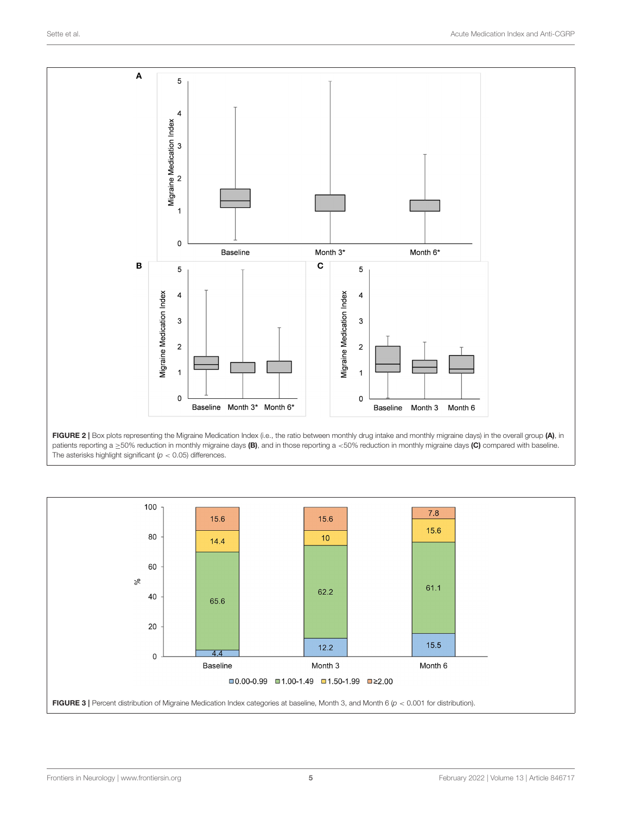

<span id="page-4-0"></span>

<span id="page-4-1"></span>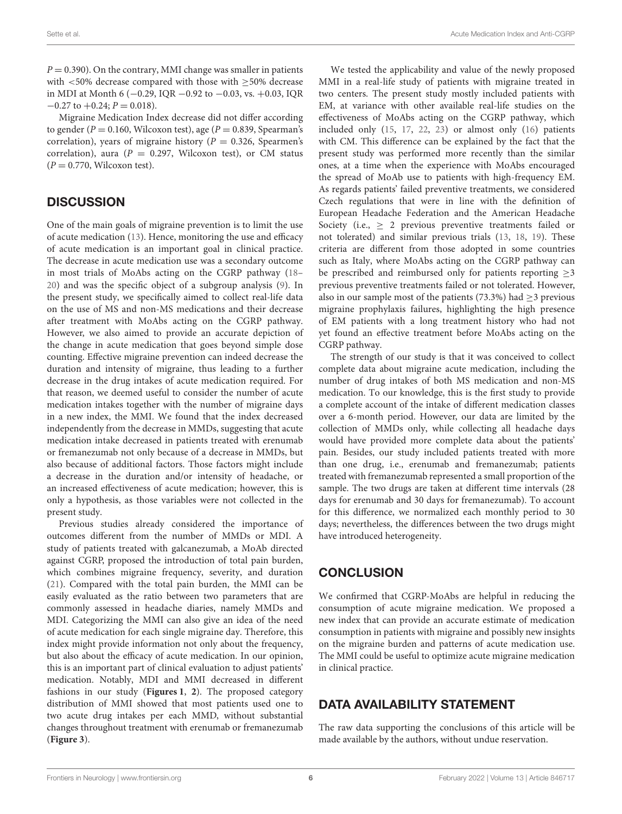$P = 0.390$ ). On the contrary, MMI change was smaller in patients with <50% decrease compared with those with >50% decrease in MDI at Month 6 (−0.29, IQR −0.92 to −0.03, vs. +0.03, IQR  $-0.27$  to  $+0.24$ ;  $P = 0.018$ ).

Migraine Medication Index decrease did not differ according to gender ( $P = 0.160$ , Wilcoxon test), age ( $P = 0.839$ , Spearman's correlation), years of migraine history ( $P = 0.326$ , Spearmen's correlation), aura ( $P = 0.297$ , Wilcoxon test), or CM status  $(P = 0.770,$  Wilcoxon test).

#### **DISCUSSION**

One of the main goals of migraine prevention is to limit the use of acute medication [\(13\)](#page-6-12). Hence, monitoring the use and efficacy of acute medication is an important goal in clinical practice. The decrease in acute medication use was a secondary outcome in most trials of MoAbs acting on the CGRP pathway [\(18–](#page-6-17) [20\)](#page-6-18) and was the specific object of a subgroup analysis [\(9\)](#page-6-8). In the present study, we specifically aimed to collect real-life data on the use of MS and non-MS medications and their decrease after treatment with MoAbs acting on the CGRP pathway. However, we also aimed to provide an accurate depiction of the change in acute medication that goes beyond simple dose counting. Effective migraine prevention can indeed decrease the duration and intensity of migraine, thus leading to a further decrease in the drug intakes of acute medication required. For that reason, we deemed useful to consider the number of acute medication intakes together with the number of migraine days in a new index, the MMI. We found that the index decreased independently from the decrease in MMDs, suggesting that acute medication intake decreased in patients treated with erenumab or fremanezumab not only because of a decrease in MMDs, but also because of additional factors. Those factors might include a decrease in the duration and/or intensity of headache, or an increased effectiveness of acute medication; however, this is only a hypothesis, as those variables were not collected in the present study.

Previous studies already considered the importance of outcomes different from the number of MMDs or MDI. A study of patients treated with galcanezumab, a MoAb directed against CGRP, proposed the introduction of total pain burden, which combines migraine frequency, severity, and duration [\(21\)](#page-6-19). Compared with the total pain burden, the MMI can be easily evaluated as the ratio between two parameters that are commonly assessed in headache diaries, namely MMDs and MDI. Categorizing the MMI can also give an idea of the need of acute medication for each single migraine day. Therefore, this index might provide information not only about the frequency, but also about the efficacy of acute medication. In our opinion, this is an important part of clinical evaluation to adjust patients' medication. Notably, MDI and MMI decreased in different fashions in our study (**[Figures 1](#page-3-0)**, **[2](#page-4-0)**). The proposed category distribution of MMI showed that most patients used one to two acute drug intakes per each MMD, without substantial changes throughout treatment with erenumab or fremanezumab (**[Figure 3](#page-4-1)**).

We tested the applicability and value of the newly proposed MMI in a real-life study of patients with migraine treated in two centers. The present study mostly included patients with EM, at variance with other available real-life studies on the effectiveness of MoAbs acting on the CGRP pathway, which included only [\(15,](#page-6-14) [17,](#page-6-15) [22,](#page-6-20) [23\)](#page-6-21) or almost only [\(16\)](#page-6-22) patients with CM. This difference can be explained by the fact that the present study was performed more recently than the similar ones, at a time when the experience with MoAbs encouraged the spread of MoAb use to patients with high-frequency EM. As regards patients' failed preventive treatments, we considered Czech regulations that were in line with the definition of European Headache Federation and the American Headache Society (i.e., > 2 previous preventive treatments failed or not tolerated) and similar previous trials [\(13,](#page-6-12) [18,](#page-6-17) [19\)](#page-6-23). These criteria are different from those adopted in some countries such as Italy, where MoAbs acting on the CGRP pathway can be prescribed and reimbursed only for patients reporting  $\geq$ 3 previous preventive treatments failed or not tolerated. However, also in our sample most of the patients (73.3%) had  $>$ 3 previous migraine prophylaxis failures, highlighting the high presence of EM patients with a long treatment history who had not yet found an effective treatment before MoAbs acting on the CGRP pathway.

The strength of our study is that it was conceived to collect complete data about migraine acute medication, including the number of drug intakes of both MS medication and non-MS medication. To our knowledge, this is the first study to provide a complete account of the intake of different medication classes over a 6-month period. However, our data are limited by the collection of MMDs only, while collecting all headache days would have provided more complete data about the patients' pain. Besides, our study included patients treated with more than one drug, i.e., erenumab and fremanezumab; patients treated with fremanezumab represented a small proportion of the sample. The two drugs are taken at different time intervals (28 days for erenumab and 30 days for fremanezumab). To account for this difference, we normalized each monthly period to 30 days; nevertheless, the differences between the two drugs might have introduced heterogeneity.

#### **CONCLUSION**

We confirmed that CGRP-MoAbs are helpful in reducing the consumption of acute migraine medication. We proposed a new index that can provide an accurate estimate of medication consumption in patients with migraine and possibly new insights on the migraine burden and patterns of acute medication use. The MMI could be useful to optimize acute migraine medication in clinical practice.

# DATA AVAILABILITY STATEMENT

The raw data supporting the conclusions of this article will be made available by the authors, without undue reservation.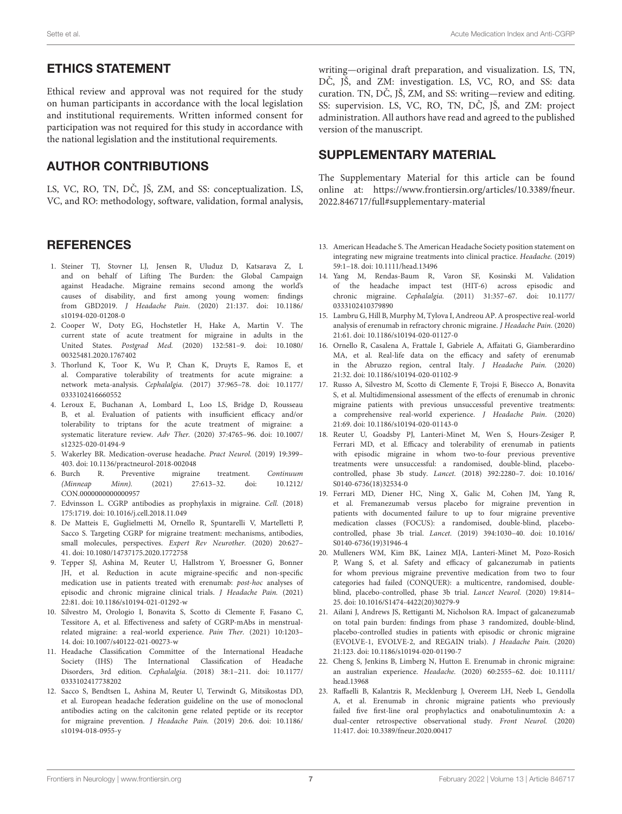# ETHICS STATEMENT

Ethical review and approval was not required for the study on human participants in accordance with the local legislation and institutional requirements. Written informed consent for participation was not required for this study in accordance with the national legislation and the institutional requirements.

# AUTHOR CONTRIBUTIONS

LS, VC, RO, TN, DČ, JŠ, ZM, and SS: conceptualization. LS, VC, and RO: methodology, software, validation, formal analysis,

#### **REFERENCES**

- <span id="page-6-0"></span>1. Steiner TJ, Stovner LJ, Jensen R, Uluduz D, Katsarava Z, L and on behalf of Lifting The Burden: the Global Campaign against Headache. Migraine remains second among the world's causes of disability, and first among young women: findings from GBD2019. J Headache Pain[. \(2020\) 21:137. doi: 10.1186/](https://doi.org/10.1186/s10194-020-01208-0) s10194-020-01208-0
- <span id="page-6-1"></span>2. Cooper W, Doty EG, Hochstetler H, Hake A, Martin V. The current state of acute treatment for migraine in adults in the United States. Postgrad Med. [\(2020\) 132:581–9. doi: 10.1080/](https://doi.org/10.1080/00325481.2020.1767402) 00325481.2020.1767402
- <span id="page-6-2"></span>3. Thorlund K, Toor K, Wu P, Chan K, Druyts E, Ramos E, et al. Comparative tolerability of treatments for acute migraine: a network meta-analysis. Cephalalgia. [\(2017\) 37:965–78. doi: 10.1177/](https://doi.org/10.1177/0333102416660552) 0333102416660552
- <span id="page-6-3"></span>4. Leroux E, Buchanan A, Lombard L, Loo LS, Bridge D, Rousseau B, et al. Evaluation of patients with insufficient efficacy and/or tolerability to triptans for the acute treatment of migraine: a systematic literature review. Adv Ther. [\(2020\) 37:4765–96. doi: 10.1007/](https://doi.org/10.1007/s12325-020-01494-9) s12325-020-01494-9
- <span id="page-6-4"></span>5. Wakerley BR. Medication-overuse headache. Pract Neurol. (2019) 19:399– 403. doi: [10.1136/practneurol-2018-002048](https://doi.org/10.1136/practneurol-2018-002048)
- <span id="page-6-5"></span>6. Burch R. Preventive migraine treatment. Continuum<br>(Minneap Minn). (2021) 27:613-32. doi: 10.1212/ 27:613–32. CON.0000000000000957
- <span id="page-6-6"></span>7. Edvinsson L. CGRP antibodies as prophylaxis in migraine. Cell. (2018) 175:1719. doi: [10.1016/j.cell.2018.11.049](https://doi.org/10.1016/j.cell.2018.11.049)
- <span id="page-6-7"></span>8. De Matteis E, Guglielmetti M, Ornello R, Spuntarelli V, Martelletti P, Sacco S. Targeting CGRP for migraine treatment: mechanisms, antibodies, small molecules, perspectives. Expert Rev Neurother. (2020) 20:627– 41. doi: [10.1080/14737175.2020.1772758](https://doi.org/10.1080/14737175.2020.1772758)
- <span id="page-6-8"></span>9. Tepper SJ, Ashina M, Reuter U, Hallstrom Y, Broessner G, Bonner JH, et al. Reduction in acute migraine-specific and non-specific medication use in patients treated with erenumab: post-hoc analyses of episodic and chronic migraine clinical trials. J Headache Pain. (2021) 22:81. doi: [10.1186/s10194-021-01292-w](https://doi.org/10.1186/s10194-021-01292-w)
- <span id="page-6-9"></span>10. Silvestro M, Orologio I, Bonavita S, Scotto di Clemente F, Fasano C, Tessitore A, et al. Effectiveness and safety of CGRP-mAbs in menstrualrelated migraine: a real-world experience. Pain Ther. (2021) 10:1203– 14. doi: [10.1007/s40122-021-00273-w](https://doi.org/10.1007/s40122-021-00273-w)
- <span id="page-6-10"></span>11. Headache Classification Committee of the International Headache Society (IHS) The International Classification of Headache Disorders, 3rd edition. Cephalalgia[. \(2018\) 38:1–211. doi: 10.1177/](https://doi.org/10.1177/0333102417738202) 0333102417738202
- <span id="page-6-11"></span>12. Sacco S, Bendtsen L, Ashina M, Reuter U, Terwindt G, Mitsikostas DD, et al. European headache federation guideline on the use of monoclonal antibodies acting on the calcitonin gene related peptide or its receptor for migraine prevention. J Headache Pain. [\(2019\) 20:6. doi: 10.1186/](https://doi.org/10.1186/s10194-018-0955-y) s10194-018-0955-y

writing—original draft preparation, and visualization. LS, TN, DČ, JŠ, and ZM: investigation. LS, VC, RO, and SS: data curation. TN, DČ, JŠ, ZM, and SS: writing—review and editing. SS: supervision. LS, VC, RO, TN, DC, JŠ, and ZM: project administration. All authors have read and agreed to the published version of the manuscript.

#### SUPPLEMENTARY MATERIAL

<span id="page-6-16"></span>The Supplementary Material for this article can be found [online at: https://www.frontiersin.org/articles/10.3389/fneur.](https://www.frontiersin.org/articles/10.3389/fneur.2022.846717/full#supplementary-material) 2022.846717/full#supplementary-material

- <span id="page-6-12"></span>13. American Headache S. The American Headache Society position statement on integrating new migraine treatments into clinical practice. Headache. (2019) 59:1–18. doi: [10.1111/head.13496](https://doi.org/10.1111/head.13496)
- <span id="page-6-13"></span>14. Yang M, Rendas-Baum R, Varon SF, Kosinski M. Validation of the headache impact test (HIT-6) across episodic and chronic migraine. Cephalalgia. [\(2011\) 31:357–67. doi: 10.1177/](https://doi.org/10.1177/0333102410379890) 0333102410379890
- <span id="page-6-14"></span>15. Lambru G, Hill B, Murphy M, Tylova I, Andreou AP. A prospective real-world analysis of erenumab in refractory chronic migraine. J Headache Pain. (2020) 21:61. doi: [10.1186/s10194-020-01127-0](https://doi.org/10.1186/s10194-020-01127-0)
- <span id="page-6-22"></span>16. Ornello R, Casalena A, Frattale I, Gabriele A, Affaitati G, Giamberardino MA, et al. Real-life data on the efficacy and safety of erenumab in the Abruzzo region, central Italy. J Headache Pain. (2020) 21:32. doi: [10.1186/s10194-020-01102-9](https://doi.org/10.1186/s10194-020-01102-9)
- <span id="page-6-15"></span>17. Russo A, Silvestro M, Scotto di Clemente F, Trojsi F, Bisecco A, Bonavita S, et al. Multidimensional assessment of the effects of erenumab in chronic migraine patients with previous unsuccessful preventive treatments: a comprehensive real-world experience. J Headache Pain. (2020) 21:69. doi: [10.1186/s10194-020-01143-0](https://doi.org/10.1186/s10194-020-01143-0)
- <span id="page-6-17"></span>18. Reuter U, Goadsby PJ, Lanteri-Minet M, Wen S, Hours-Zesiger P, Ferrari MD, et al. Efficacy and tolerability of erenumab in patients with episodic migraine in whom two-to-four previous preventive treatments were unsuccessful: a randomised, double-blind, placebocontrolled, phase 3b study. Lancet. [\(2018\) 392:2280–7. doi: 10.1016/](https://doi.org/10.1016/S0140-6736(18)32534-0) S0140-6736(18)32534-0
- <span id="page-6-23"></span>19. Ferrari MD, Diener HC, Ning X, Galic M, Cohen JM, Yang R, et al. Fremanezumab versus placebo for migraine prevention in patients with documented failure to up to four migraine preventive medication classes (FOCUS): a randomised, double-blind, placebocontrolled, phase 3b trial. Lancet. [\(2019\) 394:1030–40. doi: 10.1016/](https://doi.org/10.1016/S0140-6736(19)31946-4) S0140-6736(19)31946-4
- <span id="page-6-18"></span>20. Mulleners WM, Kim BK, Lainez MJA, Lanteri-Minet M, Pozo-Rosich P, Wang S, et al. Safety and efficacy of galcanezumab in patients for whom previous migraine preventive medication from two to four categories had failed (CONQUER): a multicentre, randomised, doubleblind, placebo-controlled, phase 3b trial. Lancet Neurol. (2020) 19:814– 25. doi: [10.1016/S1474-4422\(20\)30279-9](https://doi.org/10.1016/S1474-4422(20)30279-9)
- <span id="page-6-19"></span>21. Ailani J, Andrews JS, Rettiganti M, Nicholson RA. Impact of galcanezumab on total pain burden: findings from phase 3 randomized, double-blind, placebo-controlled studies in patients with episodic or chronic migraine (EVOLVE-1, EVOLVE-2, and REGAIN trials). J Headache Pain. (2020) 21:123. doi: [10.1186/s10194-020-01190-7](https://doi.org/10.1186/s10194-020-01190-7)
- <span id="page-6-20"></span>22. Cheng S, Jenkins B, Limberg N, Hutton E. Erenumab in chronic migraine: an australian experience. Headache. [\(2020\) 60:2555–62. doi: 10.1111/](https://doi.org/10.1111/head.13968) head.13968
- <span id="page-6-21"></span>23. Raffaelli B, Kalantzis R, Mecklenburg J, Overeem LH, Neeb L, Gendolla A, et al. Erenumab in chronic migraine patients who previously failed five first-line oral prophylactics and onabotulinumtoxin A: a dual-center retrospective observational study. Front Neurol. (2020) 11:417. doi: [10.3389/fneur.2020.00417](https://doi.org/10.3389/fneur.2020.00417~)